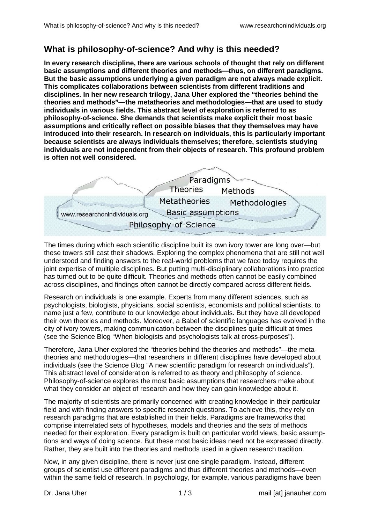## **What is philosophy-of-science? And why is this needed?**

**In every research discipline, there are various schools of thought that rely on different basic assumptions and different theories and methods—thus, on different paradigms. But the basic assumptions underlying a given paradigm are not always made explicit. This complicates collaborations between scientists from different traditions and disciplines. In her new research trilogy, Jana Uher explored the "theories behind the theories and methods"—the metatheories and methodologies—that are used to study individuals in various fields. This abstract level of exploration is referred to as philosophy-of-science. She demands that scientists make explicit their most basic assumptions and critically reflect on possible biases that they themselves may have introduced into their research. In research on individuals, this is particularly important because scientists are always individuals themselves; therefore, scientists studying individuals are not independent from their objects of research. This profound problem is often not well considered.** 



The times during which each scientific discipline built its own ivory tower are long over—but these towers still cast their shadows. Exploring the complex phenomena that are still not well understood and finding answers to the real-world problems that we face today requires the joint expertise of multiple disciplines. But putting multi-disciplinary collaborations into practice has turned out to be quite difficult. Theories and methods often cannot be easily combined across disciplines, and findings often cannot be directly compared across different fields.

Research on individuals is one example. Experts from many different sciences, such as psychologists, biologists, physicians, social scientists, economists and political scientists, to name just a few, contribute to our knowledge about individuals. But they have all developed their own theories and methods. Moreover, a Babel of scientific languages has evolved in the city of ivory towers, making communication between the disciplines quite difficult at times (see the Science Blog "When biologists and psychologists talk at cross-purposes").

Therefore, Jana Uher explored the "theories behind the theories and methods"—the metatheories and methodologies—that researchers in different disciplines have developed about individuals (see the Science Blog "A new scientific paradigm for research on individuals"). This abstract level of consideration is referred to as theory and philosophy of science. Philosophy-of-science explores the most basic assumptions that researchers make about what they consider an object of research and how they can gain knowledge about it.

The majority of scientists are primarily concerned with creating knowledge in their particular field and with finding answers to specific research questions. To achieve this, they rely on research paradigms that are established in their fields. Paradigms are frameworks that comprise interrelated sets of hypotheses, models and theories and the sets of methods needed for their exploration. Every paradigm is built on particular world views, basic assumptions and ways of doing science. But these most basic ideas need not be expressed directly. Rather, they are built into the theories and methods used in a given research tradition.

Now, in any given discipline, there is never just one single paradigm. Instead, different groups of scientist use different paradigms and thus different theories and methods—even within the same field of research. In psychology, for example, various paradigms have been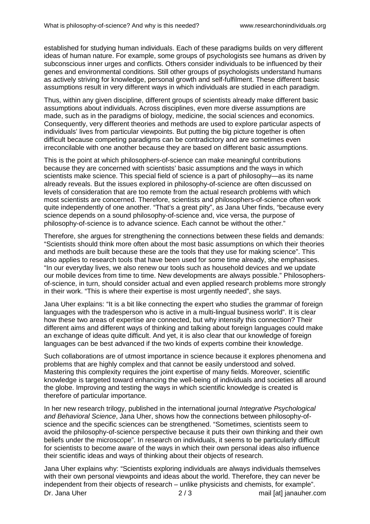established for studying human individuals. Each of these paradigms builds on very different ideas of human nature. For example, some groups of psychologists see humans as driven by subconscious inner urges and conflicts. Others consider individuals to be influenced by their genes and environmental conditions. Still other groups of psychologists understand humans as actively striving for knowledge, personal growth and self-fulfilment. These different basic assumptions result in very different ways in which individuals are studied in each paradigm.

Thus, within any given discipline, different groups of scientists already make different basic assumptions about individuals. Across disciplines, even more diverse assumptions are made, such as in the paradigms of biology, medicine, the social sciences and economics. Consequently, very different theories and methods are used to explore particular aspects of individuals' lives from particular viewpoints. But putting the big picture together is often difficult because competing paradigms can be contradictory and are sometimes even irreconcilable with one another because they are based on different basic assumptions.

This is the point at which philosophers-of-science can make meaningful contributions because they are concerned with scientists' basic assumptions and the ways in which scientists make science. This special field of science is a part of philosophy—as its name already reveals. But the issues explored in philosophy-of-science are often discussed on levels of consideration that are too remote from the actual research problems with which most scientists are concerned. Therefore, scientists and philosophers-of-science often work quite independently of one another. "That's a great pity", as Jana Uher finds, "because every science depends on a sound philosophy-of-science and, vice versa, the purpose of philosophy-of-science is to advance science. Each cannot be without the other."

Therefore, she argues for strengthening the connections between these fields and demands: "Scientists should think more often about the most basic assumptions on which their theories and methods are built because these are the tools that they use for making science". This also applies to research tools that have been used for some time already, she emphasises. "In our everyday lives, we also renew our tools such as household devices and we update our mobile devices from time to time. New developments are always possible." Philosophersof-science, in turn, should consider actual and even applied research problems more strongly in their work. "This is where their expertise is most urgently needed", she says.

Jana Uher explains: "It is a bit like connecting the expert who studies the grammar of foreign languages with the tradesperson who is active in a multi-lingual business world". It is clear how these two areas of expertise are connected, but why intensify this connection? Their different aims and different ways of thinking and talking about foreign languages could make an exchange of ideas quite difficult. And yet, it is also clear that our knowledge of foreign languages can be best advanced if the two kinds of experts combine their knowledge.

Such collaborations are of utmost importance in science because it explores phenomena and problems that are highly complex and that cannot be easily understood and solved. Mastering this complexity requires the joint expertise of many fields. Moreover, scientific knowledge is targeted toward enhancing the well-being of individuals and societies all around the globe. Improving and testing the ways in which scientific knowledge is created is therefore of particular importance.

In her new research trilogy, published in the international journal *Integrative Psychological* and Behavioral Science, Jana Uher, shows how the connections between philosophy-ofscience and the specific sciences can be strengthened. "Sometimes, scientists seem to avoid the philosophy-of-science perspective because it puts their own thinking and their own beliefs under the microscope". In research on individuals, it seems to be particularly difficult for scientists to become aware of the ways in which their own personal ideas also influence their scientific ideas and ways of thinking about their objects of research.

Dr. Jana Uher 2/3 mail [at] janauher.com Jana Uher explains why: "Scientists exploring individuals are always individuals themselves with their own personal viewpoints and ideas about the world. Therefore, they can never be independent from their objects of research – unlike physicists and chemists, for example".